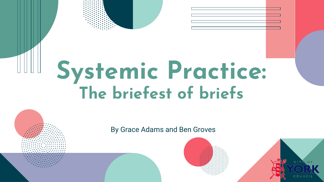## **Systemic Practice: The briefest of briefs**

By Grace Adams and Ben Groves



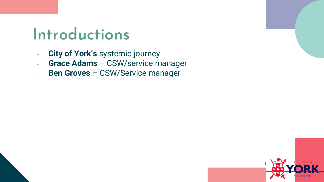## **Introductions**

- **City of York's** systemic journey
- **Grace Adams**  CSW/service manager
- **Ben Groves**  CSW/Service manager

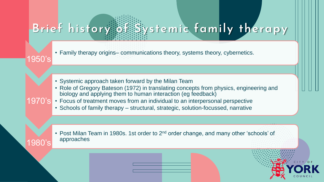## **Brief history of Systemic family therapy**

• Family therapy origins– communications theory, systems theory, cybernetics.

• Systemic approach taken forward by the Milan Team

1950's

1980's

- Role of Gregory Bateson (1972) in translating concepts from physics, engineering and biology and applying them to human interaction (eg feedback)
- 1970's Focus of treatment moves from an individual to an interpersonal perspective
	- Schools of family therapy structural, strategic, solution-focussed, narrative
	- Post Milan Team in 1980s. 1st order to 2<sup>nd</sup> order change, and many other 'schools' of approaches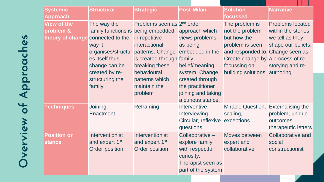| <b>Systemic</b><br><b>Approach</b>                                   | <b>Structural</b>                                                                                                                             | <b>Strategic</b>                                                                                                                                                                                                                           | <b>Post-Milan</b>                                                                                                                                                  | <b>Solution-</b><br>focussed                                                                                                                                                                 | .<br><b>Narrative</b>                                                                                      |
|----------------------------------------------------------------------|-----------------------------------------------------------------------------------------------------------------------------------------------|--------------------------------------------------------------------------------------------------------------------------------------------------------------------------------------------------------------------------------------------|--------------------------------------------------------------------------------------------------------------------------------------------------------------------|----------------------------------------------------------------------------------------------------------------------------------------------------------------------------------------------|------------------------------------------------------------------------------------------------------------|
| <b>View of the</b><br>problem &<br>theory of change connected to the | The way the<br>family functions is being embedded<br>way it<br>es itself thus<br>change can be<br>created by re-<br>structuring the<br>family | Problems seen as 2 <sup>nd</sup> order<br>in repetitive<br>interactional<br>organises/structur patterns. Change embedded in the<br>is created through family<br>breaking these<br>behavioural<br>patterns which<br>maintain the<br>problem | approach which<br>views problems<br>as being<br>belief/meaning<br>system. Change<br>created through<br>the practitioner<br>joining and taking<br>a curious stance. | The problem is<br>not the problem<br>but how the<br>problem is seen<br>and responded to. Change seen as<br>Create change by a process of re-<br>focussing on<br>building solutions authoring | <b>Problems located</b><br>within the stories<br>we tell as they<br>shape our beliefs.<br>storying and re- |
| <b>Techniques</b>                                                    | Joining,<br><b>Enactment</b>                                                                                                                  | Reframing                                                                                                                                                                                                                                  | <b>Interventive</b><br>Interviewing $-$<br>Circular, reflexive exceptions<br>questions                                                                             | Miracle Question, Externalising the<br>scaling,                                                                                                                                              | problem, unique<br>outcomes,<br>therapeutic letters                                                        |
| <b>Position or</b><br><b>stance</b>                                  | Interventionist<br>and expert 1 <sup>st</sup><br><b>Order position</b>                                                                        | Interventionist<br>and expert 1 <sup>st</sup><br><b>Order position</b>                                                                                                                                                                     | Collaborative -<br>explore family<br>with respectful<br>curiosity.<br>Therapist seen as<br>part of the system                                                      | <b>Moves between</b><br>expert and<br>collaborative                                                                                                                                          | <b>Collaborative and</b><br>social<br>constructionist                                                      |

Overview of Approaches **Overview of Approaches**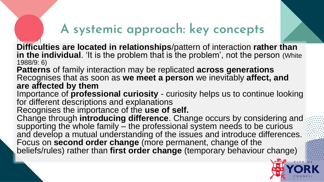### **A systemic approach: key concepts**

**Difficulties are located in relationships**/pattern of interaction **rather than**  in the individual. 'It is the problem that is the problem', not the person (White 1988/9: 6)

**Patterns** of family interaction may be replicated **across generations** Recognises that as soon as **we meet a person** we inevitably **affect, and are affected by them**

Importance of **professional curiosity** - curiosity helps us to continue looking for different descriptions and explanations

Recognises the importance of the **use of self.**

Change through **introducing difference**. Change occurs by considering and supporting the whole family – the professional system needs to be curious and develop a mutual understanding of the issues and introduce differences. Focus on **second order change** (more permanent, change of the beliefs/rules) rather than first order change (temporary behaviour change)

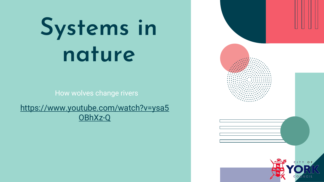# **Systems in nature**

How wolves change rivers

[https://www.youtube.com/watch?v=ysa5](https://www.youtube.com/watch?v=ysa5OBhXz-Q) OBhXz-Q

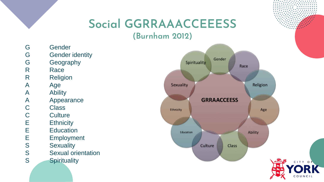## **Social GGRRAAACCEEESS**

**(Burnham 2012)**

- G Gender
- G Gender identity
- G Geography
- R Race
- R Religion
- A Age
- A Ability
- A Appearance
- C Class
- C Culture<br>E Ethnicit
- E Ethnicity<br>E Educatio
- E Education<br>E Employme
- E Employment<br>S Sexuality
	- **Sexuality**
- S Sexual orientation
- S Spirituality

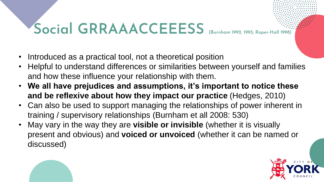## **Social GRRAAACCEEESS** (Burnham 1992, 1993; Roper-



- Introduced as a practical tool, not a theoretical position
- Helpful to understand differences or similarities between yourself and families and how these influence your relationship with them.
- **We all have prejudices and assumptions, it's important to notice these and be reflexive about how they impact our practice** (Hedges, 2010)
- Can also be used to support managing the relationships of power inherent in training / supervisory relationships (Burnham et all 2008: 530)
- May vary in the way they are **visible or invisible** (whether it is visually present and obvious) and **voiced or unvoiced** (whether it can be named or discussed)

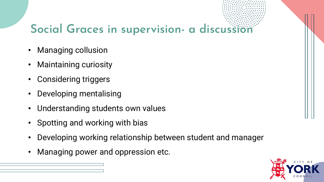#### **Social Graces in supervision- a discussion**

- Managing collusion
- Maintaining curiosity
- Considering triggers
- Developing mentalising
- Understanding students own values
- Spotting and working with bias
- Developing working relationship between student and manager
- Managing power and oppression etc.

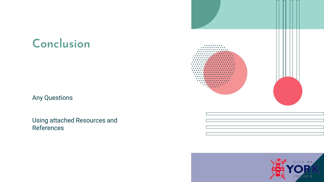#### **Conclusion**

Any Questions

Using attached Resources and References



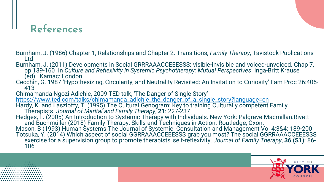#### **References**

- Burnham, J. (1986) Chapter 1, Relationships and Chapter 2. Transitions, *Family Therapy*, Tavistock Publications Ltd
- Burnham, J. (2011) Developments in Social GRRRAAACCEEESSS: visible-invisible and voiced-unvoiced. Chap 7, pp 139-160 In *Culture and Reflexivity in Systemic Psychotherapy: Mutual Perspectives*. Inga-Britt Krause (ed). Karnac: London
- Cecchin, G. 1987 'Hypothesizing, Circularity, and Neutrality Revisited: An Invitation to Curiosity' Fam Proc 26:405- 413

Chimamanda Ngozi Adichie, 2009 TED talk, 'The Danger of Single Story' [https://www.ted.com/talks/chimamanda\\_adichie\\_the\\_danger\\_of\\_a\\_single\\_story?language=en](https://www.ted.com/talks/chimamanda_adichie_the_danger_of_a_single_story?language=en)

Hardy, K. and Laszloffy, T. (1995) The Cultural Genogram: Key to training Culturally competent Family Therapists. *Journal of Marital and Family Therapy*, **21**: 227-237

Hedges, F. (2005) An Introduction to Systemic Therapy with Individuals. New York: Palgrave Macmillan.Rivett and Buchmüller (2018) Family Therapy: Skills and Techniques in Action. Routledge, Oxon.

Mason, B (1993) Human Systems The Journal of Systemic. Consultation and Management Vol 4:3&4: 189-200 Totsuka, Y. (2014) Which aspect of social GGRRAAACCEEESSS grab you most? The social GGRRAAACCEEESSS exercise for a supervision group to promote therapists' self-reflexivity. *Journal of Family Therapy*, **36 (S1)**: 86- 106